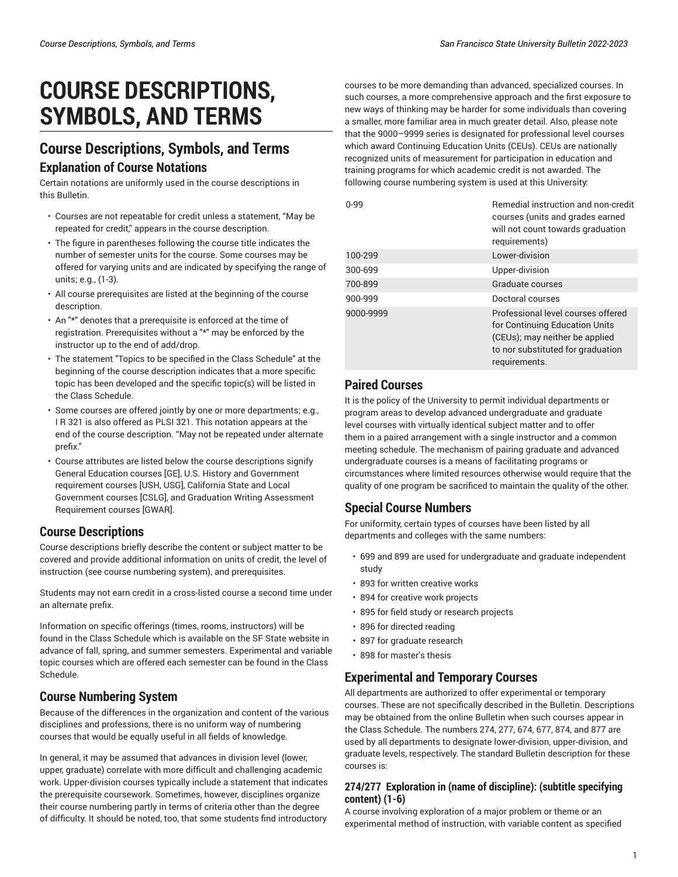# **COURSE DESCRIPTIONS, SYMBOLS, AND TERMS**

# **Course Descriptions, Symbols, and Terms Explanation of Course Notations**

Certain notations are uniformly used in the course descriptions in this Bulletin.

- Courses are not repeatable for credit unless a statement, "May be repeated for credit," appears in the course description.
- The figure in parentheses following the course title indicates the number of semester units for the course. Some courses may be offered for varying units and are indicated by specifying the range of units; e.g., (1-3).
- All course prerequisites are listed at the beginning of the course description.
- An "\*" denotes that a prerequisite is enforced at the time of registration. Prerequisites without a "\*" may be enforced by the instructor up to the end of add/drop.
- The statement "Topics to be specified in the Class Schedule" at the beginning of the course description indicates that a more specific topic has been developed and the specific topic(s) will be listed in the Class Schedule.
- Some courses are offered jointly by one or more departments; e.g., I R 321 is also offered as PLSI 321. This notation appears at the end of the course description. "May not be repeated under alternate prefix."
- Course attributes are listed below the course descriptions signify General Education courses [GE], U.S. History and Government requirement courses [USH, USG], California State and Local Government courses [CSLG], and Graduation Writing Assessment Requirement courses [GWAR].

# **Course Descriptions**

Course descriptions briefly describe the content or subject matter to be covered and provide additional information on units of credit, the level of instruction (see course numbering system), and prerequisites.

Students may not earn credit in a cross-listed course a second time under an alternate prefix.

Information on specific offerings (times, rooms, instructors) will be found in the Class Schedule which is available on the SF State website in advance of fall, spring, and summer semesters. Experimental and variable topic courses which are offered each semester can be found in the Class Schedule.

# **Course Numbering System**

Because of the differences in the organization and content of the various disciplines and professions, there is no uniform way of numbering courses that would be equally useful in all fields of knowledge.

In general, it may be assumed that advances in division level (lower, upper, graduate) correlate with more difficult and challenging academic work. Upper-division courses typically include a statement that indicates the prerequisite coursework. Sometimes, however, disciplines organize their course numbering partly in terms of criteria other than the degree of difficulty. It should be noted, too, that some students find introductory

courses to be more demanding than advanced, specialized courses. In such courses, a more comprehensive approach and the first exposure to new ways of thinking may be harder for some individuals than covering a smaller, more familiar area in much greater detail. Also, please note that the 9000–9999 series is designated for professional level courses which award Continuing Education Units (CEUs). CEUs are nationally recognized units of measurement for participation in education and training programs for which academic credit is not awarded. The following course numbering system is used at this University:

| $0 - 99$  | Remedial instruction and non-credit<br>courses (units and grades earned<br>will not count towards graduation<br>requirements)                                |
|-----------|--------------------------------------------------------------------------------------------------------------------------------------------------------------|
| 100-299   | Lower-division                                                                                                                                               |
| 300-699   | Upper-division                                                                                                                                               |
| 700-899   | Graduate courses                                                                                                                                             |
| 900-999   | Doctoral courses                                                                                                                                             |
| 9000-9999 | Professional level courses offered<br>for Continuing Education Units<br>(CEUs); may neither be applied<br>to nor substituted for graduation<br>requirements. |

# **Paired Courses**

It is the policy of the University to permit individual departments or program areas to develop advanced undergraduate and graduate level courses with virtually identical subject matter and to offer them in a paired arrangement with a single instructor and a common meeting schedule. The mechanism of pairing graduate and advanced undergraduate courses is a means of facilitating programs or circumstances where limited resources otherwise would require that the quality of one program be sacrificed to maintain the quality of the other.

# **Special Course Numbers**

For uniformity, certain types of courses have been listed by all departments and colleges with the same numbers:

- 699 and 899 are used for undergraduate and graduate independent study
- 893 for written creative works
- 894 for creative work projects
- 895 for field study or research projects
- 896 for directed reading
- 897 for graduate research
- 898 for master's thesis

## **Experimental and Temporary Courses**

All departments are authorized to offer experimental or temporary courses. These are not specifically described in the Bulletin. Descriptions may be obtained from the online Bulletin when such courses appear in the Class Schedule. The numbers 274, 277, 674, 677, 874, and 877 are used by all departments to designate lower-division, upper-division, and graduate levels, respectively. The standard Bulletin description for these courses is:

#### **274/277 Exploration in (name of discipline): (subtitle specifying content) (1-6)**

A course involving exploration of a major problem or theme or an experimental method of instruction, with variable content as specified